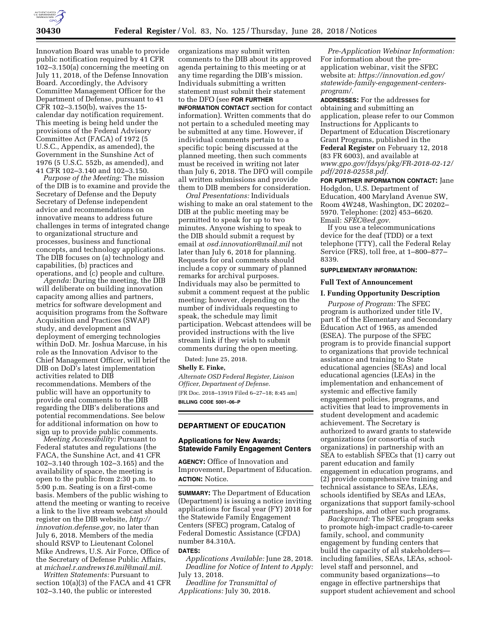

Innovation Board was unable to provide public notification required by 41 CFR 102–3.150(a) concerning the meeting on July 11, 2018, of the Defense Innovation Board. Accordingly, the Advisory Committee Management Officer for the Department of Defense, pursuant to 41 CFR 102–3.150(b), waives the 15 calendar day notification requirement. This meeting is being held under the provisions of the Federal Advisory Committee Act (FACA) of 1972 (5 U.S.C., Appendix, as amended), the Government in the Sunshine Act of 1976 (5 U.S.C. 552b, as amended), and 41 CFR 102–3.140 and 102–3.150.

*Purpose of the Meeting:* The mission of the DIB is to examine and provide the Secretary of Defense and the Deputy Secretary of Defense independent advice and recommendations on innovative means to address future challenges in terms of integrated change to organizational structure and processes, business and functional concepts, and technology applications. The DIB focuses on (a) technology and capabilities, (b) practices and operations, and (c) people and culture.

*Agenda:* During the meeting, the DIB will deliberate on building innovation capacity among allies and partners, metrics for software development and acquisition programs from the Software Acquisition and Practices (SWAP) study, and development and deployment of emerging technologies within DoD. Mr. Joshua Marcuse, in his role as the Innovation Advisor to the Chief Management Officer, will brief the DIB on DoD's latest implementation activities related to DIB recommendations. Members of the public will have an opportunity to provide oral comments to the DIB regarding the DIB's deliberations and potential recommendations. See below for additional information on how to sign up to provide public comments.

*Meeting Accessibility:* Pursuant to Federal statutes and regulations (the FACA, the Sunshine Act, and 41 CFR 102–3.140 through 102–3.165) and the availability of space, the meeting is open to the public from 2:30 p.m. to 5:00 p.m. Seating is on a first-come basis. Members of the public wishing to attend the meeting or wanting to receive a link to the live stream webcast should register on the DIB website, *[http://](http://innovation.defense.gov) [innovation.defense.gov,](http://innovation.defense.gov)* no later than July 6, 2018. Members of the media should RSVP to Lieutenant Colonel Mike Andrews, U.S. Air Force, Office of the Secretary of Defense Public Affairs, at *[michael.r.andrews16.mil@mail.mil.](mailto:michael.r.andrews16.mil@mail.mil)* 

*Written Statements:* Pursuant to section 10(a)(3) of the FACA and 41 CFR 102–3.140, the public or interested

organizations may submit written comments to the DIB about its approved agenda pertaining to this meeting or at any time regarding the DIB's mission. Individuals submitting a written statement must submit their statement to the DFO (see **FOR FURTHER**

**INFORMATION CONTACT** section for contact information). Written comments that do not pertain to a scheduled meeting may be submitted at any time. However, if individual comments pertain to a specific topic being discussed at the planned meeting, then such comments must be received in writing not later than July 6, 2018. The DFO will compile all written submissions and provide them to DIB members for consideration.

*Oral Presentations:* Individuals wishing to make an oral statement to the DIB at the public meeting may be permitted to speak for up to two minutes. Anyone wishing to speak to the DIB should submit a request by email at *[osd.innovation@mail.mil](mailto:osd.innovation@mail.mil)* not later than July 6, 2018 for planning. Requests for oral comments should include a copy or summary of planned remarks for archival purposes. Individuals may also be permitted to submit a comment request at the public meeting; however, depending on the number of individuals requesting to speak, the schedule may limit participation. Webcast attendees will be provided instructions with the live stream link if they wish to submit comments during the open meeting.

Dated: June 25, 2018.

**Shelly E. Finke,** 

*Alternate OSD Federal Register, Liaison Officer, Department of Defense.*  [FR Doc. 2018–13919 Filed 6–27–18; 8:45 am]

**BILLING CODE 5001–06–P** 

#### **DEPARTMENT OF EDUCATION**

# **Applications for New Awards; Statewide Family Engagement Centers**

**AGENCY:** Office of Innovation and Improvement, Department of Education. **ACTION:** Notice.

**SUMMARY:** The Department of Education (Department) is issuing a notice inviting applications for fiscal year (FY) 2018 for the Statewide Family Engagement Centers (SFEC) program, Catalog of Federal Domestic Assistance (CFDA) number 84.310A.

## **DATES:**

*Applications Available:* June 28, 2018. *Deadline for Notice of Intent to Apply:*  July 13, 2018.

*Deadline for Transmittal of Applications:* July 30, 2018.

*Pre-Application Webinar Information:*  For information about the preapplication webinar, visit the SFEC website at: *[https://innovation.ed.gov/](https://innovation.ed.gov/statewide-family-engagement-centers-program/)  [statewide-family-engagement-centers](https://innovation.ed.gov/statewide-family-engagement-centers-program/)[program/.](https://innovation.ed.gov/statewide-family-engagement-centers-program/)* 

**ADDRESSES:** For the addresses for obtaining and submitting an application, please refer to our Common Instructions for Applicants to Department of Education Discretionary Grant Programs, published in the **Federal Register** on February 12, 2018 (83 FR 6003), and available at *[www.gpo.gov/fdsys/pkg/FR-2018-02-12/](http://www.gpo.gov/fdsys/pkg/FR-2018-02-12/pdf/2018-02558.pdf) [pdf/2018-02558.pdf.](http://www.gpo.gov/fdsys/pkg/FR-2018-02-12/pdf/2018-02558.pdf)* 

**FOR FURTHER INFORMATION CONTACT:** Jane Hodgdon, U.S. Department of Education, 400 Maryland Avenue SW, Room 4W248, Washington, DC 20202– 5970. Telephone: (202) 453–6620. Email: *[SFEC@ed.gov.](mailto:SFEC@ed.gov)* 

If you use a telecommunications device for the deaf (TDD) or a text telephone (TTY), call the Federal Relay Service (FRS), toll free, at 1–800–877– 8339.

### **SUPPLEMENTARY INFORMATION:**

#### **Full Text of Announcement**

#### **I. Funding Opportunity Description**

*Purpose of Program:* The SFEC program is authorized under title IV, part E of the Elementary and Secondary Education Act of 1965, as amended (ESEA). The purpose of the SFEC program is to provide financial support to organizations that provide technical assistance and training to State educational agencies (SEAs) and local educational agencies (LEAs) in the implementation and enhancement of systemic and effective family engagement policies, programs, and activities that lead to improvements in student development and academic achievement. The Secretary is authorized to award grants to statewide organizations (or consortia of such organizations) in partnership with an SEA to establish SFECs that (1) carry out parent education and family engagement in education programs, and (2) provide comprehensive training and technical assistance to SEAs, LEAs, schools identified by SEAs and LEAs, organizations that support family-school partnerships, and other such programs.

*Background:* The SFEC program seeks to promote high-impact cradle-to-career family, school, and community engagement by funding centers that build the capacity of all stakeholders including families, SEAs, LEAs, schoollevel staff and personnel, and community based organizations—to engage in effective partnerships that support student achievement and school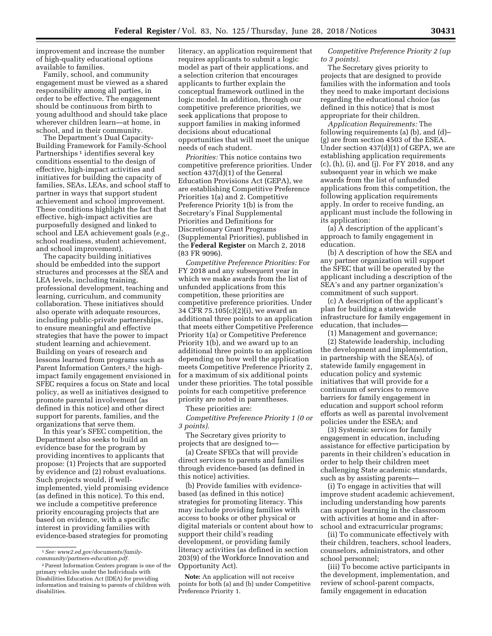improvement and increase the number of high-quality educational options available to families.

Family, school, and community engagement must be viewed as a shared responsibility among all parties, in order to be effective. The engagement should be continuous from birth to young adulthood and should take place wherever children learn—at home, in school, and in their community.

The Department's Dual Capacity-Building Framework for Family-School Partnerships<sup>1</sup> identifies several key conditions essential to the design of effective, high-impact activities and initiatives for building the capacity of families, SEAs, LEAs, and school staff to partner in ways that support student achievement and school improvement. These conditions highlight the fact that effective, high-impact activities are purposefully designed and linked to school and LEA achievement goals (*e.g.,*  school readiness, student achievement, and school improvement).

The capacity building initiatives should be embedded into the support structures and processes at the SEA and LEA levels, including training, professional development, teaching and learning, curriculum, and community collaboration. These initiatives should also operate with adequate resources, including public-private partnerships, to ensure meaningful and effective strategies that have the power to impact student learning and achievement. Building on years of research and lessons learned from programs such as Parent Information Centers,<sup>2</sup> the highimpact family engagement envisioned in SFEC requires a focus on State and local policy, as well as initiatives designed to promote parental involvement (as defined in this notice) and other direct support for parents, families, and the organizations that serve them.

In this year's SFEC competition, the Department also seeks to build an evidence base for the program by providing incentives to applicants that propose: (1) Projects that are supported by evidence and (2) robust evaluations. Such projects would, if wellimplemented, yield promising evidence (as defined in this notice). To this end, we include a competitive preference priority encouraging projects that are based on evidence, with a specific interest in providing families with evidence-based strategies for promoting

literacy, an application requirement that requires applicants to submit a logic model as part of their applications, and a selection criterion that encourages applicants to further explain the conceptual framework outlined in the logic model. In addition, through our competitive preference priorities, we seek applications that propose to support families in making informed decisions about educational opportunities that will meet the unique needs of each student.

*Priorities:* This notice contains two competitive preference priorities. Under section 437(d)(1) of the General Education Provisions Act (GEPA), we are establishing Competitive Preference Priorities 1(a) and 2. Competitive Preference Priority 1(b) is from the Secretary's Final Supplemental Priorities and Definitions for Discretionary Grant Programs (Supplemental Priorities), published in the **Federal Register** on March 2, 2018 (83 FR 9096).

*Competitive Preference Priorities:* For FY 2018 and any subsequent year in which we make awards from the list of unfunded applications from this competition, these priorities are competitive preference priorities. Under 34 CFR 75.105(c)(2)(i), we award an additional three points to an application that meets either Competitive Preference Priority 1(a) or Competitive Preference Priority 1(b), and we award up to an additional three points to an application depending on how well the application meets Competitive Preference Priority 2, for a maximum of six additional points under these priorities. The total possible points for each competitive preference priority are noted in parentheses.

These priorities are:

*Competitive Preference Priority 1 (0 or 3 points).* 

The Secretary gives priority to projects that are designed to—

(a) Create SFECs that will provide direct services to parents and families through evidence-based (as defined in this notice) activities.

(b) Provide families with evidencebased (as defined in this notice) strategies for promoting literacy. This may include providing families with access to books or other physical or digital materials or content about how to support their child's reading development, or providing family literacy activities (as defined in section 203(9) of the Workforce Innovation and Opportunity Act).

**Note:** An application will not receive points for both (a) and (b) under Competitive Preference Priority 1.

*Competitive Preference Priority 2 (up to 3 points).* 

The Secretary gives priority to projects that are designed to provide families with the information and tools they need to make important decisions regarding the educational choice (as defined in this notice) that is most appropriate for their children.

*Application Requirements:* The following requirements (a) (b), and (d)– (g) are from section 4503 of the ESEA. Under section 437(d)(1) of GEPA, we are establishing application requirements (c), (h), (i), and (j). For FY 2018, and any subsequent year in which we make awards from the list of unfunded applications from this competition, the following application requirements apply. In order to receive funding, an applicant must include the following in its application:

(a) A description of the applicant's approach to family engagement in education.

(b) A description of how the SEA and any partner organization will support the SFEC that will be operated by the applicant including a description of the SEA's and any partner organization's commitment of such support.

(c) A description of the applicant's plan for building a statewide infrastructure for family engagement in education, that includes—

(1) Management and governance; (2) Statewide leadership, including the development and implementation, in partnership with the SEA(s), of statewide family engagement in education policy and systemic initiatives that will provide for a continuum of services to remove barriers for family engagement in education and support school reform efforts as well as parental involvement policies under the ESEA; and

(3) Systemic services for family engagement in education, including assistance for effective participation by parents in their children's education in order to help their children meet challenging State academic standards, such as by assisting parents—

(i) To engage in activities that will improve student academic achievement, including understanding how parents can support learning in the classroom with activities at home and in afterschool and extracurricular programs;

(ii) To communicate effectively with their children, teachers, school leaders, counselors, administrators, and other school personnel;

(iii) To become active participants in the development, implementation, and review of school-parent compacts, family engagement in education

<sup>1</sup>*See: [www2.ed.gov/documents/family](http://www2.ed.gov/documents/family-community/partners-education.pdf)[community/partners-education.pdf.](http://www2.ed.gov/documents/family-community/partners-education.pdf)* 

<sup>2</sup>Parent Information Centers program is one of the primary vehicles under the Individuals with Disabilities Education Act (IDEA) for providing information and training to parents of children with disabilities.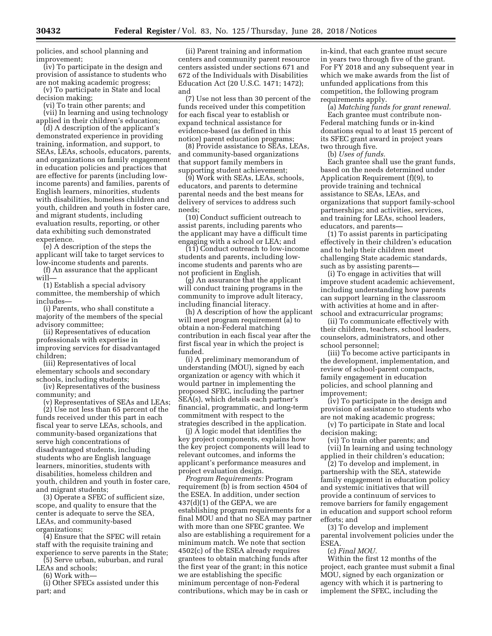policies, and school planning and improvement;

(iv) To participate in the design and provision of assistance to students who are not making academic progress;

(v) To participate in State and local decision making;

(vi) To train other parents; and

(vii) In learning and using technology applied in their children's education;

(d) A description of the applicant's demonstrated experience in providing training, information, and support, to SEAs, LEAs, schools, educators, parents, and organizations on family engagement in education policies and practices that are effective for parents (including lowincome parents) and families, parents of English learners, minorities, students with disabilities, homeless children and youth, children and youth in foster care, and migrant students, including evaluation results, reporting, or other data exhibiting such demonstrated experience.

(e) A description of the steps the applicant will take to target services to low-income students and parents.

(f) An assurance that the applicant will

(1) Establish a special advisory committee, the membership of which includes—

(i) Parents, who shall constitute a majority of the members of the special advisory committee;

(ii) Representatives of education professionals with expertise in improving services for disadvantaged children;

(iii) Representatives of local elementary schools and secondary schools, including students;

(iv) Representatives of the business community; and

(v) Representatives of SEAs and LEAs;

(2) Use not less than 65 percent of the funds received under this part in each fiscal year to serve LEAs, schools, and community-based organizations that serve high concentrations of disadvantaged students, including students who are English language learners, minorities, students with disabilities, homeless children and youth, children and youth in foster care, and migrant students;

(3) Operate a SFEC of sufficient size, scope, and quality to ensure that the center is adequate to serve the SEA, LEAs, and community-based organizations;

(4) Ensure that the SFEC will retain staff with the requisite training and experience to serve parents in the State;

(5) Serve urban, suburban, and rural LEAs and schools;

(6) Work with—

(i) Other SFECs assisted under this part; and

(ii) Parent training and information centers and community parent resource centers assisted under sections 671 and 672 of the Individuals with Disabilities Education Act (20 U.S.C. 1471; 1472); and

(7) Use not less than 30 percent of the funds received under this competition for each fiscal year to establish or expand technical assistance for evidence-based (as defined in this notice) parent education programs;

(8) Provide assistance to SEAs, LEAs, and community-based organizations that support family members in supporting student achievement;

(9) Work with SEAs, LEAs, schools, educators, and parents to determine parental needs and the best means for delivery of services to address such needs;

(10) Conduct sufficient outreach to assist parents, including parents who the applicant may have a difficult time engaging with a school or LEA; and

(11) Conduct outreach to low-income students and parents, including lowincome students and parents who are not proficient in English.

(g) An assurance that the applicant will conduct training programs in the community to improve adult literacy, including financial literacy.

(h) A description of how the applicant will meet program requirement (a) to obtain a non-Federal matching contribution in each fiscal year after the first fiscal year in which the project is funded.

(i) A preliminary memorandum of understanding (MOU), signed by each organization or agency with which it would partner in implementing the proposed SFEC, including the partner SEA(s), which details each partner's financial, programmatic, and long-term commitment with respect to the strategies described in the application.

(j) A logic model that identifies the key project components, explains how the key project components will lead to relevant outcomes, and informs the applicant's performance measures and project evaluation design.

*Program Requirements:* Program requirement (b) is from section 4504 of the ESEA. In addition, under section  $437(d)(1)$  of the GEPA, we are establishing program requirements for a final MOU and that no SEA may partner with more than one SFEC grantee. We also are establishing a requirement for a minimum match. We note that section 4502(c) of the ESEA already requires grantees to obtain matching funds after the first year of the grant; in this notice we are establishing the specific minimum percentage of non-Federal contributions, which may be in cash or

in-kind, that each grantee must secure in years two through five of the grant. For FY 2018 and any subsequent year in which we make awards from the list of unfunded applications from this competition, the following program requirements apply.

(a) *Matching funds for grant renewal.*  Each grantee must contribute non-Federal matching funds or in-kind donations equal to at least 15 percent of its SFEC grant award in project years two through five.

(b) *Uses of funds.* 

Each grantee shall use the grant funds, based on the needs determined under Application Requirement (f)(9), to provide training and technical assistance to SEAs, LEAs, and organizations that support family-school partnerships; and activities, services, and training for LEAs, school leaders, educators, and parents—

(1) To assist parents in participating effectively in their children's education and to help their children meet challenging State academic standards, such as by assisting parents—

(i) To engage in activities that will improve student academic achievement, including understanding how parents can support learning in the classroom with activities at home and in afterschool and extracurricular programs;

(ii) To communicate effectively with their children, teachers, school leaders, counselors, administrators, and other school personnel;

(iii) To become active participants in the development, implementation, and review of school-parent compacts, family engagement in education policies, and school planning and improvement;

(iv) To participate in the design and provision of assistance to students who are not making academic progress;

(v) To participate in State and local decision making;

(vi) To train other parents; and (vii) In learning and using technology applied in their children's education;

(2) To develop and implement, in partnership with the SEA, statewide family engagement in education policy and systemic initiatives that will provide a continuum of services to remove barriers for family engagement in education and support school reform efforts; and

(3) To develop and implement parental involvement policies under the ESEA.

(c) *Final MOU.* 

Within the first 12 months of the project, each grantee must submit a final MOU, signed by each organization or agency with which it is partnering to implement the SFEC, including the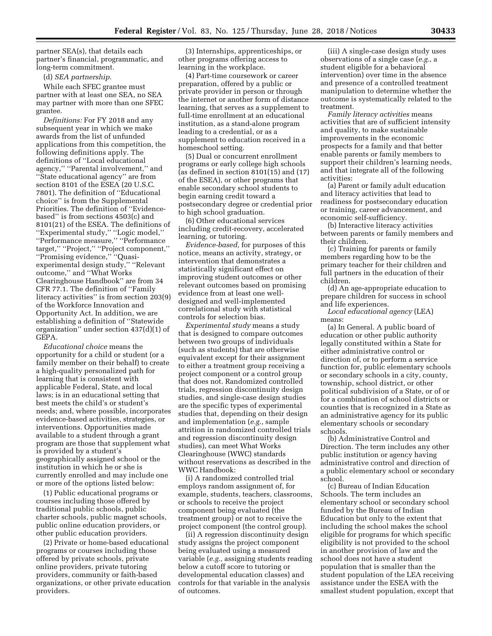partner SEA(s), that details each partner's financial, programmatic, and long-term commitment.

(d) *SEA partnership.* 

While each SFEC grantee must partner with at least one SEA, no SEA may partner with more than one SFEC grantee.

*Definitions:* For FY 2018 and any subsequent year in which we make awards from the list of unfunded applications from this competition, the following definitions apply. The definitions of ''Local educational agency,'' ''Parental involvement,'' and ''State educational agency'' are from section 8101 of the ESEA (20 U.S.C. 7801). The definition of ''Educational choice'' is from the Supplemental Priorities. The definition of ''Evidencebased'' is from sections 4503(c) and 8101(21) of the ESEA. The definitions of ''Experimental study,'' ''Logic model,'' ''Performance measure,'' ''Performance target,'' ''Project,'' ''Project component,'' ''Promising evidence,'' ''Quasiexperimental design study,'' ''Relevant outcome,'' and ''What Works Clearinghouse Handbook'' are from 34 CFR 77.1. The definition of ''Family literacy activities'' is from section 203(9) of the Workforce Innovation and Opportunity Act. In addition, we are establishing a definition of ''Statewide organization'' under section 437(d)(1) of GEPA.

*Educational choice* means the opportunity for a child or student (or a family member on their behalf) to create a high-quality personalized path for learning that is consistent with applicable Federal, State, and local laws; is in an educational setting that best meets the child's or student's needs; and, where possible, incorporates evidence-based activities, strategies, or interventions. Opportunities made available to a student through a grant program are those that supplement what is provided by a student's geographically assigned school or the institution in which he or she is currently enrolled and may include one or more of the options listed below:

(1) Public educational programs or courses including those offered by traditional public schools, public charter schools, public magnet schools, public online education providers, or other public education providers.

(2) Private or home-based educational programs or courses including those offered by private schools, private online providers, private tutoring providers, community or faith-based organizations, or other private education providers.

(3) Internships, apprenticeships, or other programs offering access to learning in the workplace.

(4) Part-time coursework or career preparation, offered by a public or private provider in person or through the internet or another form of distance learning, that serves as a supplement to full-time enrollment at an educational institution, as a stand-alone program leading to a credential, or as a supplement to education received in a homeschool setting.

(5) Dual or concurrent enrollment programs or early college high schools (as defined in section 8101(15) and (17) of the ESEA), or other programs that enable secondary school students to begin earning credit toward a postsecondary degree or credential prior to high school graduation.

(6) Other educational services including credit-recovery, accelerated learning, or tutoring.

*Evidence-based,* for purposes of this notice, means an activity, strategy, or intervention that demonstrates a statistically significant effect on improving student outcomes or other relevant outcomes based on promising evidence from at least one welldesigned and well-implemented correlational study with statistical controls for selection bias.

*Experimental study* means a study that is designed to compare outcomes between two groups of individuals (such as students) that are otherwise equivalent except for their assignment to either a treatment group receiving a project component or a control group that does not. Randomized controlled trials, regression discontinuity design studies, and single-case design studies are the specific types of experimental studies that, depending on their design and implementation (*e.g.,* sample attrition in randomized controlled trials and regression discontinuity design studies), can meet What Works Clearinghouse (WWC) standards without reservations as described in the WWC Handbook:

(i) A randomized controlled trial employs random assignment of, for example, students, teachers, classrooms, or schools to receive the project component being evaluated (the treatment group) or not to receive the project component (the control group).

(ii) A regression discontinuity design study assigns the project component being evaluated using a measured variable (*e.g.,* assigning students reading below a cutoff score to tutoring or developmental education classes) and controls for that variable in the analysis of outcomes.

(iii) A single-case design study uses observations of a single case (*e.g.,* a student eligible for a behavioral intervention) over time in the absence and presence of a controlled treatment manipulation to determine whether the outcome is systematically related to the treatment.

*Family literacy activities* means activities that are of sufficient intensity and quality, to make sustainable improvements in the economic prospects for a family and that better enable parents or family members to support their children's learning needs, and that integrate all of the following activities:

(a) Parent or family adult education and literacy activities that lead to readiness for postsecondary education or training, career advancement, and economic self-sufficiency.

(b) Interactive literacy activities between parents or family members and their children.

(c) Training for parents or family members regarding how to be the primary teacher for their children and full partners in the education of their children.

(d) An age-appropriate education to prepare children for success in school and life experiences.

*Local educational agency* (LEA) means:

(a) In General. A public board of education or other public authority legally constituted within a State for either administrative control or direction of, or to perform a service function for, public elementary schools or secondary schools in a city, county, township, school district, or other political subdivision of a State, or of or for a combination of school districts or counties that is recognized in a State as an administrative agency for its public elementary schools or secondary schools.

(b) Administrative Control and Direction. The term includes any other public institution or agency having administrative control and direction of a public elementary school or secondary school.

(c) Bureau of Indian Education Schools. The term includes an elementary school or secondary school funded by the Bureau of Indian Education but only to the extent that including the school makes the school eligible for programs for which specific eligibility is not provided to the school in another provision of law and the school does not have a student population that is smaller than the student population of the LEA receiving assistance under the ESEA with the smallest student population, except that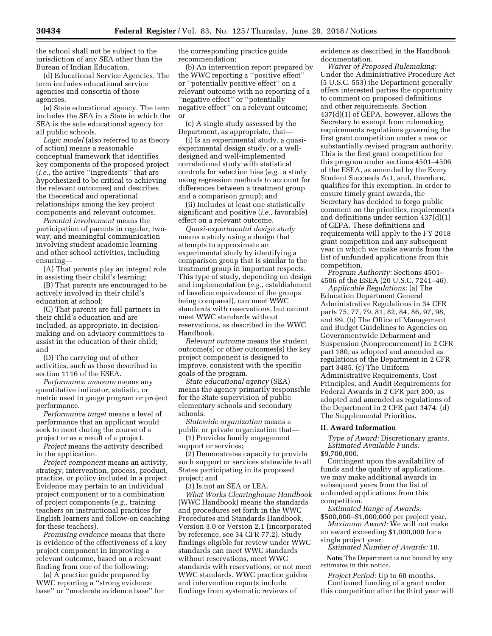the school shall not be subject to the jurisdiction of any SEA other than the Bureau of Indian Education.

(d) Educational Service Agencies. The term includes educational service agencies and consortia of those agencies.

(e) State educational agency. The term includes the SEA in a State in which the SEA is the sole educational agency for all public schools.

*Logic model* (also referred to as theory of action) means a reasonable conceptual framework that identifies key components of the proposed project (*i.e.,* the active ''ingredients'' that are hypothesized to be critical to achieving the relevant outcomes) and describes the theoretical and operational relationships among the key project components and relevant outcomes.

*Parental involvement* means the participation of parents in regular, twoway, and meaningful communication involving student academic learning and other school activities, including ensuring—

(A) That parents play an integral role in assisting their child's learning;

(B) That parents are encouraged to be actively involved in their child's education at school;

(C) That parents are full partners in their child's education and are included, as appropriate, in decisionmaking and on advisory committees to assist in the education of their child; and

(D) The carrying out of other activities, such as those described in section 1116 of the ESEA.

*Performance measure* means any quantitative indicator, statistic, or metric used to gauge program or project performance.

*Performance target* means a level of performance that an applicant would seek to meet during the course of a project or as a result of a project.

*Project* means the activity described in the application.

*Project component* means an activity, strategy, intervention, process, product, practice, or policy included in a project. Evidence may pertain to an individual project component or to a combination of project components (*e.g.,* training teachers on instructional practices for English learners and follow-on coaching for these teachers).

*Promising evidence* means that there is evidence of the effectiveness of a key project component in improving a relevant outcome, based on a relevant finding from one of the following:

(a) A practice guide prepared by WWC reporting a ''strong evidence base'' or ''moderate evidence base'' for the corresponding practice guide recommendation;

(b) An intervention report prepared by the WWC reporting a ''positive effect'' or ''potentially positive effect'' on a relevant outcome with no reporting of a ''negative effect'' or ''potentially negative effect'' on a relevant outcome; or

(c) A single study assessed by the Department, as appropriate, that—

(i) Is an experimental study, a quasiexperimental design study, or a welldesigned and well-implemented correlational study with statistical controls for selection bias (*e.g.,* a study using regression methods to account for differences between a treatment group and a comparison group); and

(ii) Includes at least one statistically significant and positive (*i.e.,* favorable) effect on a relevant outcome.

*Quasi-experimental design study*  means a study using a design that attempts to approximate an experimental study by identifying a comparison group that is similar to the treatment group in important respects. This type of study, depending on design and implementation (*e.g.,* establishment of baseline equivalence of the groups being compared), can meet WWC standards with reservations, but cannot meet WWC standards without reservations, as described in the WWC Handbook.

*Relevant outcome* means the student outcome(s) or other outcomes(s) the key project component is designed to improve, consistent with the specific goals of the program.

*State educational agency* (SEA) means the agency primarily responsible for the State supervision of public elementary schools and secondary schools.

*Statewide organization* means a public or private organization that—

(1) Provides family engagement support or services;

(2) Demonstrates capacity to provide such support or services statewide to all States participating in its proposed project; and

(3) Is not an SEA or LEA.

*What Works Clearinghouse Handbook*  (WWC Handbook) means the standards and procedures set forth in the WWC Procedures and Standards Handbook, Version 3.0 or Version 2.1 (incorporated by reference, see 34 CFR 77.2). Study findings eligible for review under WWC standards can meet WWC standards without reservations, meet WWC standards with reservations, or not meet WWC standards. WWC practice guides and intervention reports include findings from systematic reviews of

evidence as described in the Handbook documentation.

*Waiver of Proposed Rulemaking:*  Under the Administrative Procedure Act (5 U.S.C. 553) the Department generally offers interested parties the opportunity to comment on proposed definitions and other requirements. Section 437(d)(1) of GEPA, however, allows the Secretary to exempt from rulemaking requirements regulations governing the first grant competition under a new or substantially revised program authority. This is the first grant competition for this program under sections 4501–4506 of the ESEA, as amended by the Every Student Succeeds Act, and, therefore, qualifies for this exemption. In order to ensure timely grant awards, the Secretary has decided to forgo public comment on the priorities, requirements and definitions under section 437(d)(1) of GEPA. These definitions and requirements will apply to the FY 2018 grant competition and any subsequent year in which we make awards from the list of unfunded applications from this competition.

*Program Authority:* Sections 4501– 4506 of the ESEA (20 U.S.C. 7241–46).

*Applicable Regulations:* (a) The Education Department General Administrative Regulations in 34 CFR parts 75, 77, 79, 81, 82, 84, 86, 97, 98, and 99. (b) The Office of Management and Budget Guidelines to Agencies on Governmentwide Debarment and Suspension (Nonprocurement) in 2 CFR part 180, as adopted and amended as regulations of the Department in 2 CFR part 3485. (c) The Uniform Administrative Requirements, Cost Principles, and Audit Requirements for Federal Awards in 2 CFR part 200, as adopted and amended as regulations of the Department in 2 CFR part 3474. (d) The Supplemental Priorities.

#### **II. Award Information**

*Type of Award:* Discretionary grants. *Estimated Available Funds:*  \$9,700,000.

Contingent upon the availability of funds and the quality of applications, we may make additional awards in subsequent years from the list of unfunded applications from this competition.

*Estimated Range of Awards:* 

\$500,000–\$1,000,000 per project year. *Maximum Award:* We will not make

an award exceeding \$1,000,000 for a single project year.

*Estimated Number of Awards:* 10.

**Note:** The Department is not bound by any estimates in this notice.

*Project Period:* Up to 60 months. Continued funding of a grant under this competition after the third year will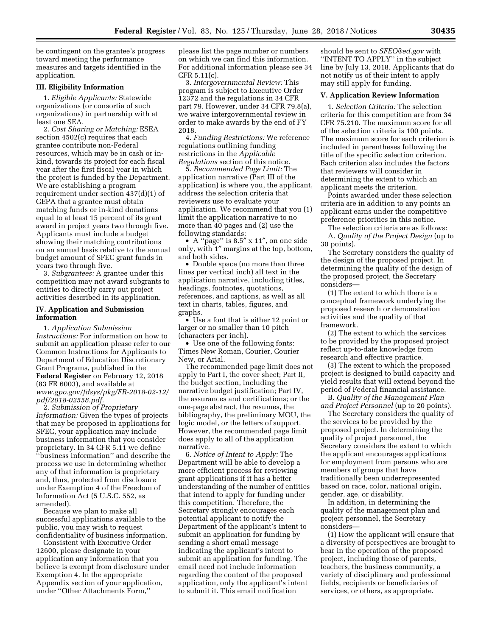be contingent on the grantee's progress toward meeting the performance measures and targets identified in the application.

# **III. Eligibility Information**

1. *Eligible Applicants:* Statewide organizations (or consortia of such organizations) in partnership with at least one SEA.

2. *Cost Sharing or Matching:* ESEA section 4502(c) requires that each grantee contribute non-Federal resources, which may be in cash or inkind, towards its project for each fiscal year after the first fiscal year in which the project is funded by the Department. We are establishing a program requirement under section 437(d)(1) of GEPA that a grantee must obtain matching funds or in-kind donations equal to at least 15 percent of its grant award in project years two through five. Applicants must include a budget showing their matching contributions on an annual basis relative to the annual budget amount of SFEC grant funds in years two through five.

3. *Subgrantees:* A grantee under this competition may not award subgrants to entities to directly carry out project activities described in its application.

### **IV. Application and Submission Information**

1. *Application Submission Instructions:* For information on how to submit an application please refer to our Common Instructions for Applicants to Department of Education Discretionary Grant Programs, published in the **Federal Register** on February 12, 2018 (83 FR 6003), and available at *[www.gpo.gov/fdsys/pkg/FR-2018-02-12/](http://www.gpo.gov/fdsys/pkg/FR-2018-02-12/pdf/2018-02558.pdf) [pdf/2018-02558.pdf.](http://www.gpo.gov/fdsys/pkg/FR-2018-02-12/pdf/2018-02558.pdf)* 

2. *Submission of Proprietary Information:* Given the types of projects that may be proposed in applications for SFEC, your application may include business information that you consider proprietary. In 34 CFR 5.11 we define ''business information'' and describe the process we use in determining whether any of that information is proprietary and, thus, protected from disclosure under Exemption 4 of the Freedom of Information Act (5 U.S.C. 552, as amended).

Because we plan to make all successful applications available to the public, you may wish to request confidentiality of business information.

Consistent with Executive Order 12600, please designate in your application any information that you believe is exempt from disclosure under Exemption 4. In the appropriate Appendix section of your application, under ''Other Attachments Form,''

please list the page number or numbers on which we can find this information. For additional information please see 34 CFR 5.11(c).

3. *Intergovernmental Review:* This program is subject to Executive Order 12372 and the regulations in 34 CFR part 79. However, under 34 CFR 79.8(a), we waive intergovernmental review in order to make awards by the end of FY 2018.

4. *Funding Restrictions:* We reference regulations outlining funding restrictions in the *Applicable Regulations* section of this notice.

5. *Recommended Page Limit:* The application narrative (Part III of the application) is where you, the applicant, address the selection criteria that reviewers use to evaluate your application. We recommend that you (1) limit the application narrative to no more than 40 pages and (2) use the following standards:

• A ''page'' is 8.5″ x 11″, on one side only, with 1″ margins at the top, bottom, and both sides.

• Double space (no more than three lines per vertical inch) all text in the application narrative, including titles, headings, footnotes, quotations, references, and captions, as well as all text in charts, tables, figures, and graphs.

• Use a font that is either 12 point or larger or no smaller than 10 pitch (characters per inch).

• Use one of the following fonts: Times New Roman, Courier, Courier New, or Arial.

The recommended page limit does not apply to Part I, the cover sheet; Part II, the budget section, including the narrative budget justification; Part IV, the assurances and certifications; or the one-page abstract, the resumes, the bibliography, the preliminary MOU, the logic model, or the letters of support. However, the recommended page limit does apply to all of the application narrative.

6. *Notice of Intent to Apply:* The Department will be able to develop a more efficient process for reviewing grant applications if it has a better understanding of the number of entities that intend to apply for funding under this competition. Therefore, the Secretary strongly encourages each potential applicant to notify the Department of the applicant's intent to submit an application for funding by sending a short email message indicating the applicant's intent to submit an application for funding. The email need not include information regarding the content of the proposed application, only the applicant's intent to submit it. This email notification

should be sent to *[SFEC@ed.gov](mailto:SFEC@ed.gov)* with ''INTENT TO APPLY'' in the subject line by July 13, 2018. Applicants that do not notify us of their intent to apply may still apply for funding.

## **V. Application Review Information**

1. *Selection Criteria:* The selection criteria for this competition are from 34 CFR 75.210. The maximum score for all of the selection criteria is 100 points. The maximum score for each criterion is included in parentheses following the title of the specific selection criterion. Each criterion also includes the factors that reviewers will consider in determining the extent to which an applicant meets the criterion.

Points awarded under these selection criteria are in addition to any points an applicant earns under the competitive preference priorities in this notice.

The selection criteria are as follows: A. *Quality of the Project Design* (up to 30 points).

The Secretary considers the quality of the design of the proposed project. In determining the quality of the design of the proposed project, the Secretary considers—

(1) The extent to which there is a conceptual framework underlying the proposed research or demonstration activities and the quality of that framework.

(2) The extent to which the services to be provided by the proposed project reflect up-to-date knowledge from research and effective practice.

(3) The extent to which the proposed project is designed to build capacity and yield results that will extend beyond the period of Federal financial assistance.

B. *Quality of the Management Plan and Project Personnel* (up to 20 points).

The Secretary considers the quality of the services to be provided by the proposed project. In determining the quality of project personnel, the Secretary considers the extent to which the applicant encourages applications for employment from persons who are members of groups that have traditionally been underrepresented based on race, color, national origin, gender, age, or disability.

In addition, in determining the quality of the management plan and project personnel, the Secretary considers—

(1) How the applicant will ensure that a diversity of perspectives are brought to bear in the operation of the proposed project, including those of parents, teachers, the business community, a variety of disciplinary and professional fields, recipients or beneficiaries of services, or others, as appropriate.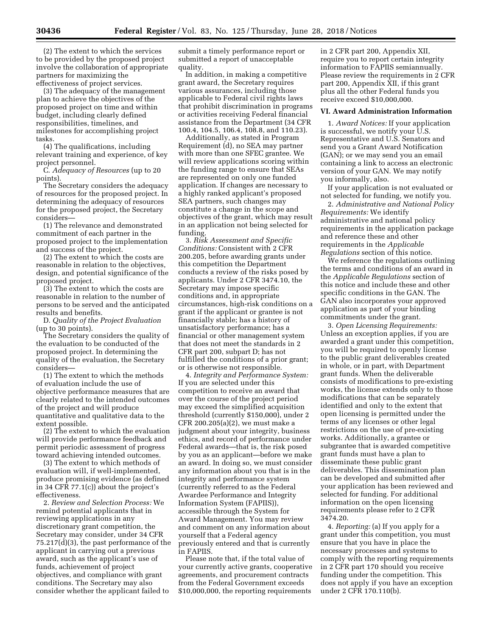(2) The extent to which the services to be provided by the proposed project involve the collaboration of appropriate partners for maximizing the effectiveness of project services.

(3) The adequacy of the management plan to achieve the objectives of the proposed project on time and within budget, including clearly defined responsibilities, timelines, and milestones for accomplishing project tasks.

(4) The qualifications, including relevant training and experience, of key project personnel.

C. *Adequacy of Resources* (up to 20 points).

The Secretary considers the adequacy of resources for the proposed project. In determining the adequacy of resources for the proposed project, the Secretary considers—

(1) The relevance and demonstrated commitment of each partner in the proposed project to the implementation and success of the project.

(2) The extent to which the costs are reasonable in relation to the objectives, design, and potential significance of the proposed project.

(3) The extent to which the costs are reasonable in relation to the number of persons to be served and the anticipated results and benefits.

D. *Quality of the Project Evaluation*  (up to 30 points).

The Secretary considers the quality of the evaluation to be conducted of the proposed project. In determining the quality of the evaluation, the Secretary considers—

(1) The extent to which the methods of evaluation include the use of objective performance measures that are clearly related to the intended outcomes of the project and will produce quantitative and qualitative data to the extent possible.

(2) The extent to which the evaluation will provide performance feedback and permit periodic assessment of progress toward achieving intended outcomes.

(3) The extent to which methods of evaluation will, if well-implemented, produce promising evidence (as defined in 34 CFR 77.1(c)) about the project's effectiveness.

2. *Review and Selection Process:* We remind potential applicants that in reviewing applications in any discretionary grant competition, the Secretary may consider, under 34 CFR 75.217(d)(3), the past performance of the applicant in carrying out a previous award, such as the applicant's use of funds, achievement of project objectives, and compliance with grant conditions. The Secretary may also consider whether the applicant failed to

submit a timely performance report or submitted a report of unacceptable quality.

In addition, in making a competitive grant award, the Secretary requires various assurances, including those applicable to Federal civil rights laws that prohibit discrimination in programs or activities receiving Federal financial assistance from the Department (34 CFR 100.4, 104.5, 106.4, 108.8, and 110.23).

Additionally, as stated in Program Requirement (d), no SEA may partner with more than one SFEC grantee. We will review applications scoring within the funding range to ensure that SEAs are represented on only one funded application. If changes are necessary to a highly ranked applicant's proposed SEA partners, such changes may constitute a change in the scope and objectives of the grant, which may result in an application not being selected for funding.

3. *Risk Assessment and Specific Conditions:* Consistent with 2 CFR 200.205, before awarding grants under this competition the Department conducts a review of the risks posed by applicants. Under 2 CFR 3474.10, the Secretary may impose specific conditions and, in appropriate circumstances, high-risk conditions on a grant if the applicant or grantee is not financially stable; has a history of unsatisfactory performance; has a financial or other management system that does not meet the standards in 2 CFR part 200, subpart D; has not fulfilled the conditions of a prior grant; or is otherwise not responsible.

4. *Integrity and Performance System:*  If you are selected under this competition to receive an award that over the course of the project period may exceed the simplified acquisition threshold (currently \$150,000), under 2 CFR 200.205(a)(2), we must make a judgment about your integrity, business ethics, and record of performance under Federal awards—that is, the risk posed by you as an applicant—before we make an award. In doing so, we must consider any information about you that is in the integrity and performance system (currently referred to as the Federal Awardee Performance and Integrity Information System (FAPIIS)), accessible through the System for Award Management. You may review and comment on any information about yourself that a Federal agency previously entered and that is currently in FAPIIS.

Please note that, if the total value of your currently active grants, cooperative agreements, and procurement contracts from the Federal Government exceeds \$10,000,000, the reporting requirements

in 2 CFR part 200, Appendix XII, require you to report certain integrity information to FAPIIS semiannually. Please review the requirements in 2 CFR part 200, Appendix XII, if this grant plus all the other Federal funds you receive exceed \$10,000,000.

#### **VI. Award Administration Information**

1. *Award Notices:* If your application is successful, we notify your U.S. Representative and U.S. Senators and send you a Grant Award Notification (GAN); or we may send you an email containing a link to access an electronic version of your GAN. We may notify you informally, also.

If your application is not evaluated or not selected for funding, we notify you.

2. *Administrative and National Policy Requirements:* We identify administrative and national policy requirements in the application package and reference these and other requirements in the *Applicable Regulations* section of this notice.

We reference the regulations outlining the terms and conditions of an award in the *Applicable Regulations* section of this notice and include these and other specific conditions in the GAN. The GAN also incorporates your approved application as part of your binding commitments under the grant.

3. *Open Licensing Requirements:*  Unless an exception applies, if you are awarded a grant under this competition, you will be required to openly license to the public grant deliverables created in whole, or in part, with Department grant funds. When the deliverable consists of modifications to pre-existing works, the license extends only to those modifications that can be separately identified and only to the extent that open licensing is permitted under the terms of any licenses or other legal restrictions on the use of pre-existing works. Additionally, a grantee or subgrantee that is awarded competitive grant funds must have a plan to disseminate these public grant deliverables. This dissemination plan can be developed and submitted after your application has been reviewed and selected for funding. For additional information on the open licensing requirements please refer to 2 CFR 3474.20.

4. *Reporting:* (a) If you apply for a grant under this competition, you must ensure that you have in place the necessary processes and systems to comply with the reporting requirements in 2 CFR part 170 should you receive funding under the competition. This does not apply if you have an exception under 2 CFR 170.110(b).